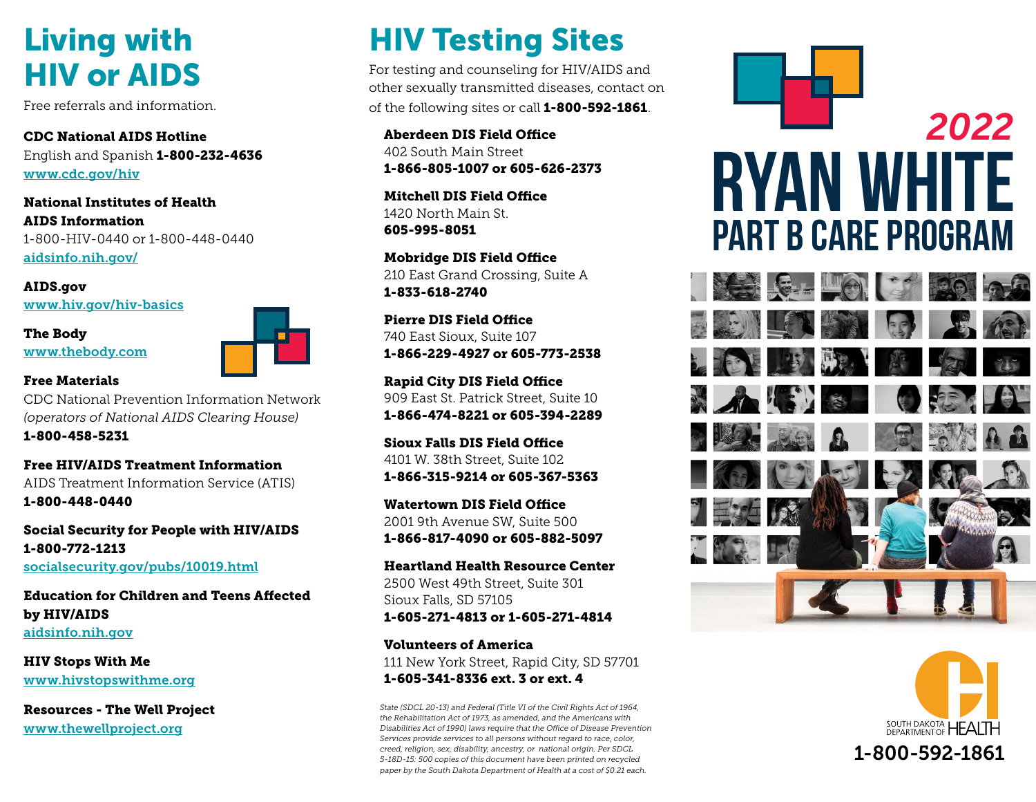# HIV or AIDS

CDC National AIDS Hotline English and Spanish 1-800-232-4636 [www.cdc.gov/hiv](https://www.cdc.gov/hiv/)

National Institutes of Health AIDS Information 1-800-HIV-0440 or 1-800-448-0440 [aidsinfo.nih.gov/](http://aidsinfo.nih.gov/)

#### AIDS.gov

[www.hiv.gov/hiv-basics](https://www.hiv.gov/hiv-basics)

The Body [www.thebody.com](http://www.thebody.com/)



#### Free Materials

CDC National Prevention Information Network *(operators of National AIDS Clearing House)*  1-800-458-5231

Free HIV/AIDS Treatment Information AIDS Treatment Information Service (ATIS) 1-800-448-0440

Social Security for People with HIV/AIDS 1-800-772-1213 [socialsecurity.gov/pubs/10019.html](http://www.socialsecurity.gov/pubs/10019.html)

Education for Children and Teens Affected by HIV/AIDS [aidsinfo.nih.gov](https://aidsinfo.nih.gov/understanding-hiv-aids/fact-sheets/25/82/hiv-and-children-and-adolescents)

HIV Stops With Me [www.hivstopswithme.org](http://www.hivstopswithme.org)

Resources - The Well Project [www.thewellproject.org](http://www.thewellproject.org/)

## Living with HIV Testing Sites

For testing and counseling for HIV/AIDS and other sexually transmitted diseases, contact on Free referrals and information.  $\qquad \qquad$  of the following sites or call 1-800-592-1861.

> Aberdeen DIS Field Office 402 South Main Street 1-866-805-1007 or 605-626-2373

Mitchell DIS Field Office 1420 North Main St. 605-995-8051

Mobridge DIS Field Office 210 East Grand Crossing, Suite A 1-833-618-2740

Pierre DIS Field Office 740 East Sioux, Suite 107 1-866-229-4927 or 605-773-2538

Rapid City DIS Field Office 909 East St. Patrick Street, Suite 10 1-866-474-8221 or 605-394-2289

Sioux Falls DIS Field Office 4101 W. 38th Street, Suite 102 1-866-315-9214 or 605-367-5363

Watertown DIS Field Office 2001 9th Avenue SW, Suite 500 1-866-817-4090 or 605-882-5097

Heartland Health Resource Center 2500 West 49th Street, Suite 301 Sioux Falls, SD 57105 1-605-271-4813 or 1-605-271-4814

Volunteers of America 111 New York Street, Rapid City, SD 57701 1-605-341-8336 ext. 3 or ext. 4

*State (SDCL 20-13) and Federal (Title VI of the Civil Rights Act of 1964, the Rehabilitation Act of 1973, as amended, and the Americans with Disabilities Act of 1990) laws require that the Office of Disease Prevention Services provide services to all persons without regard to race, color, creed, religion, sex, disability, ancestry, or national origin. Per SDCL 5-18D-15: 500 copies of this document have been printed on recycled paper by the South Dakota Department of Health at a cost of \$0.21 each.*